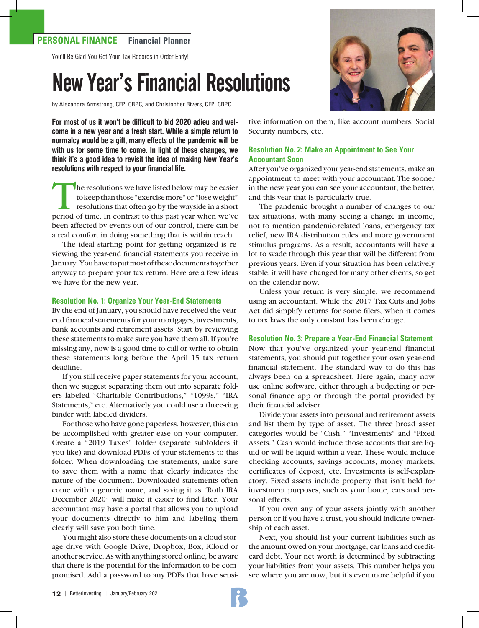# **PERSONAL FINANCE** | **Financial Planner**

You'll Be Glad You Got Your Tax Records in Order Early!

# New Year's Financial Resolutions

by Alexandra Armstrong, CFP, CRPC, and Christopher Rivers, CFP, CRPC

**For most of us it won't be difficult to bid 2020 adieu and welcome in a new year and a fresh start. While a simple return to normalcy would be a gift, many effects of the pandemic will be with us for some time to come. In light of these changes, we think it's a good idea to revisit the idea of making New Year's resolutions with respect to your financial life.** 

The resolutions we have listed below may be easier to keep than those "exercise more" or "lose weight" resolutions that often go by the wayside in a short period of time. In contrast to this past year when we've been affected by events out of our control, there can be a real comfort in doing something that is within reach.

The ideal starting point for getting organized is reviewing the year-end financial statements you receive in January. You have to put most of these documents together anyway to prepare your tax return. Here are a few ideas we have for the new year.

#### **Resolution No. 1: Organize Your Year-End Statements**

By the end of January, you should have received the yearend financial statements for your mortgages, investments, bank accounts and retirement assets. Start by reviewing these statements to make sure you have them all. If you're missing any, now is a good time to call or write to obtain these statements long before the April 15 tax return deadline.

If you still receive paper statements for your account, then we suggest separating them out into separate folders labeled "Charitable Contributions," "1099s," "IRA Statements," etc. Alternatively you could use a three-ring binder with labeled dividers.

For those who have gone paperless, however, this can be accomplished with greater ease on your computer. Create a "2019 Taxes" folder (separate subfolders if you like) and download PDFs of your statements to this folder. When downloading the statements, make sure to save them with a name that clearly indicates the nature of the document. Downloaded statements often come with a generic name, and saving it as "Roth IRA December 2020" will make it easier to find later. Your accountant may have a portal that allows you to upload your documents directly to him and labeling them clearly will save you both time.

You might also store these documents on a cloud storage drive with Google Drive, Dropbox, Box, iCloud or another service. As with anything stored online, be aware that there is the potential for the information to be compromised. Add a password to any PDFs that have sensi-



tive information on them, like account numbers, Social Security numbers, etc.

## **Resolution No. 2: Make an Appointment to See Your Accountant Soon**

After you've organized your year-end statements, make an appointment to meet with your accountant. The sooner in the new year you can see your accountant, the better, and this year that is particularly true.

The pandemic brought a number of changes to our tax situations, with many seeing a change in income, not to mention pandemic-related loans, emergency tax relief, new IRA distribution rules and more government stimulus programs. As a result, accountants will have a lot to wade through this year that will be different from previous years. Even if your situation has been relatively stable, it will have changed for many other clients, so get on the calendar now.

Unless your return is very simple, we recommend using an accountant. While the 2017 Tax Cuts and Jobs Act did simplify returns for some filers, when it comes to tax laws the only constant has been change.

**Resolution No. 3: Prepare a Year-End Financial Statement**  Now that you've organized your year-end financial statements, you should put together your own year-end financial statement. The standard way to do this has always been on a spreadsheet. Here again, many now use online software, either through a budgeting or personal finance app or through the portal provided by their financial adviser.

Divide your assets into personal and retirement assets and list them by type of asset. The three broad asset categories would be "Cash," "Investments" and "Fixed Assets." Cash would include those accounts that are liquid or will be liquid within a year. These would include checking accounts, savings accounts, money markets, certificates of deposit, etc. Investments is self-explanatory. Fixed assets include property that isn't held for investment purposes, such as your home, cars and personal effects.

 If you own any of your assets jointly with another person or if you have a trust, you should indicate ownership of each asset.

Next, you should list your current liabilities such as the amount owed on your mortgage, car loans and creditcard debt. Your net worth is determined by subtracting your liabilities from your assets. This number helps you see where you are now, but it's even more helpful if you